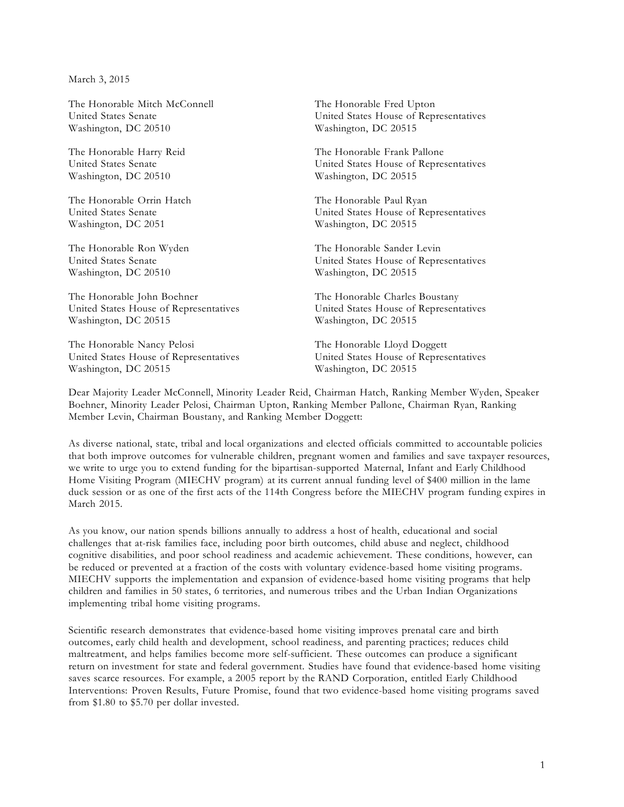March 3, 2015

The Honorable Mitch McConnell United States Senate Washington, DC 20510

The Honorable Harry Reid United States Senate Washington, DC 20510

The Honorable Orrin Hatch United States Senate Washington, DC 2051

The Honorable Ron Wyden United States Senate Washington, DC 20510

The Honorable John Boehner United States House of Representatives Washington, DC 20515

The Honorable Nancy Pelosi United States House of Representatives Washington, DC 20515

The Honorable Fred Upton United States House of Representatives Washington, DC 20515

The Honorable Frank Pallone United States House of Representatives Washington, DC 20515

The Honorable Paul Ryan United States House of Representatives Washington, DC 20515

The Honorable Sander Levin United States House of Representatives Washington, DC 20515

The Honorable Charles Boustany United States House of Representatives Washington, DC 20515

The Honorable Lloyd Doggett United States House of Representatives Washington, DC 20515

Dear Majority Leader McConnell, Minority Leader Reid, Chairman Hatch, Ranking Member Wyden, Speaker Boehner, Minority Leader Pelosi, Chairman Upton, Ranking Member Pallone, Chairman Ryan, Ranking Member Levin, Chairman Boustany, and Ranking Member Doggett:

As diverse national, state, tribal and local organizations and elected officials committed to accountable policies that both improve outcomes for vulnerable children, pregnant women and families and save taxpayer resources, we write to urge you to extend funding for the bipartisan-supported Maternal, Infant and Early Childhood Home Visiting Program (MIECHV program) at its current annual funding level of \$400 million in the lame duck session or as one of the first acts of the 114th Congress before the MIECHV program funding expires in March 2015.

As you know, our nation spends billions annually to address a host of health, educational and social challenges that at-risk families face, including poor birth outcomes, child abuse and neglect, childhood cognitive disabilities, and poor school readiness and academic achievement. These conditions, however, can be reduced or prevented at a fraction of the costs with voluntary evidence-based home visiting programs. MIECHV supports the implementation and expansion of evidence-based home visiting programs that help children and families in 50 states, 6 territories, and numerous tribes and the Urban Indian Organizations implementing tribal home visiting programs.

Scientific research demonstrates that evidence-based home visiting improves prenatal care and birth outcomes, early child health and development, school readiness, and parenting practices; reduces child maltreatment, and helps families become more self-sufficient. These outcomes can produce a significant return on investment for state and federal government. Studies have found that evidence-based home visiting saves scarce resources. For example, a 2005 report by the RAND Corporation, entitled Early Childhood Interventions: Proven Results, Future Promise, found that two evidence-based home visiting programs saved from \$1.80 to \$5.70 per dollar invested.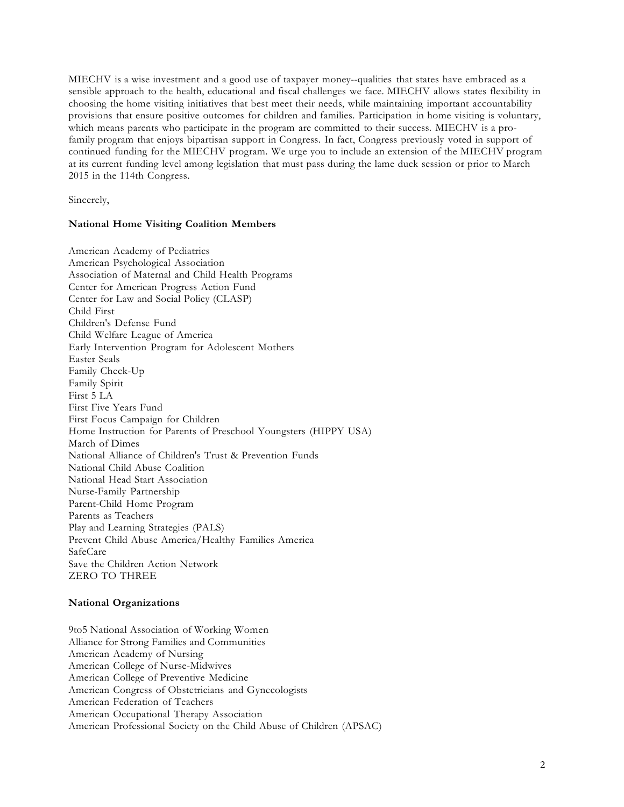MIECHV is a wise investment and a good use of taxpayer money--qualities that states have embraced as a sensible approach to the health, educational and fiscal challenges we face. MIECHV allows states flexibility in choosing the home visiting initiatives that best meet their needs, while maintaining important accountability provisions that ensure positive outcomes for children and families. Participation in home visiting is voluntary, which means parents who participate in the program are committed to their success. MIECHV is a profamily program that enjoys bipartisan support in Congress. In fact, Congress previously voted in support of continued funding for the MIECHV program. We urge you to include an extension of the MIECHV program at its current funding level among legislation that must pass during the lame duck session or prior to March 2015 in the 114th Congress.

Sincerely,

# **National Home Visiting Coalition Members**

American Academy of Pediatrics American Psychological Association Association of Maternal and Child Health Programs Center for American Progress Action Fund Center for Law and Social Policy (CLASP) Child First Children's Defense Fund Child Welfare League of America Early Intervention Program for Adolescent Mothers Easter Seals Family Check-Up Family Spirit First 5 LA First Five Years Fund First Focus Campaign for Children Home Instruction for Parents of Preschool Youngsters (HIPPY USA) March of Dimes National Alliance of Children's Trust & Prevention Funds National Child Abuse Coalition National Head Start Association Nurse-Family Partnership Parent-Child Home Program Parents as Teachers Play and Learning Strategies (PALS) Prevent Child Abuse America/Healthy Families America SafeCare Save the Children Action Network ZERO TO THREE

#### **National Organizations**

9to5 National Association of Working Women Alliance for Strong Families and Communities American Academy of Nursing American College of Nurse-Midwives American College of Preventive Medicine American Congress of Obstetricians and Gynecologists American Federation of Teachers American Occupational Therapy Association American Professional Society on the Child Abuse of Children (APSAC)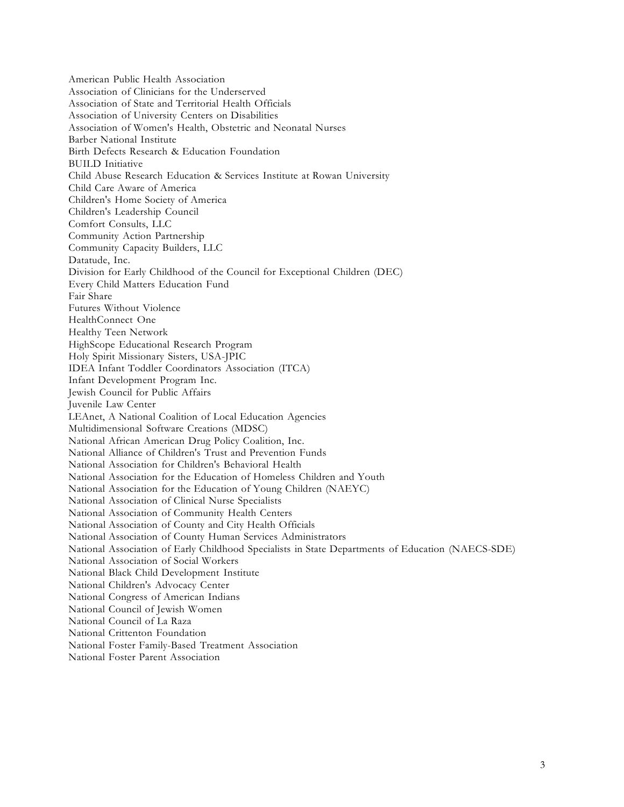American Public Health Association Association of Clinicians for the Underserved Association of State and Territorial Health Officials Association of University Centers on Disabilities Association of Women's Health, Obstetric and Neonatal Nurses Barber National Institute Birth Defects Research & Education Foundation BUILD Initiative Child Abuse Research Education & Services Institute at Rowan University Child Care Aware of America Children's Home Society of America Children's Leadership Council Comfort Consults, LLC Community Action Partnership Community Capacity Builders, LLC Datatude, Inc. Division for Early Childhood of the Council for Exceptional Children (DEC) Every Child Matters Education Fund Fair Share Futures Without Violence HealthConnect One Healthy Teen Network HighScope Educational Research Program Holy Spirit Missionary Sisters, USA-JPIC IDEA Infant Toddler Coordinators Association (ITCA) Infant Development Program Inc. Jewish Council for Public Affairs Juvenile Law Center LEAnet, A National Coalition of Local Education Agencies Multidimensional Software Creations (MDSC) National African American Drug Policy Coalition, Inc. National Alliance of Children's Trust and Prevention Funds National Association for Children's Behavioral Health National Association for the Education of Homeless Children and Youth National Association for the Education of Young Children (NAEYC) National Association of Clinical Nurse Specialists National Association of Community Health Centers National Association of County and City Health Officials National Association of County Human Services Administrators National Association of Early Childhood Specialists in State Departments of Education (NAECS-SDE) National Association of Social Workers National Black Child Development Institute National Children's Advocacy Center National Congress of American Indians National Council of Jewish Women National Council of La Raza National Crittenton Foundation National Foster Family-Based Treatment Association National Foster Parent Association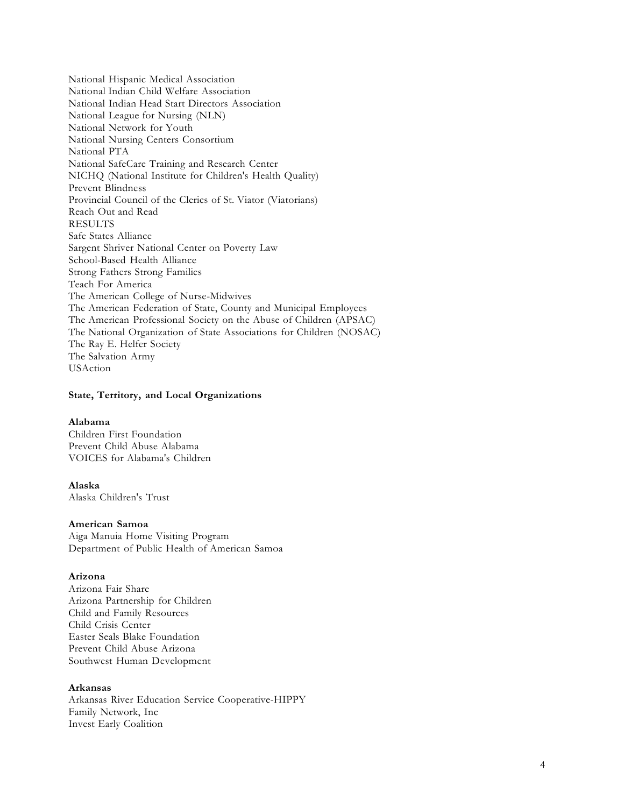National Hispanic Medical Association National Indian Child Welfare Association National Indian Head Start Directors Association National League for Nursing (NLN) National Network for Youth National Nursing Centers Consortium National PTA National SafeCare Training and Research Center NICHQ (National Institute for Children's Health Quality) Prevent Blindness Provincial Council of the Clerics of St. Viator (Viatorians) Reach Out and Read RESULTS Safe States Alliance Sargent Shriver National Center on Poverty Law School-Based Health Alliance Strong Fathers Strong Families Teach For America The American College of Nurse-Midwives The American Federation of State, County and Municipal Employees The American Professional Society on the Abuse of Children (APSAC) The National Organization of State Associations for Children (NOSAC) The Ray E. Helfer Society The Salvation Army USAction

#### **State, Territory, and Local Organizations**

#### **Alabama**

Children First Foundation Prevent Child Abuse Alabama VOICES for Alabama's Children

# **Alaska**

Alaska Children's Trust

#### **American Samoa**

Aiga Manuia Home Visiting Program Department of Public Health of American Samoa

#### **Arizona**

Arizona Fair Share Arizona Partnership for Children Child and Family Resources Child Crisis Center Easter Seals Blake Foundation Prevent Child Abuse Arizona Southwest Human Development

#### **Arkansas**

Arkansas River Education Service Cooperative-HIPPY Family Network, Inc Invest Early Coalition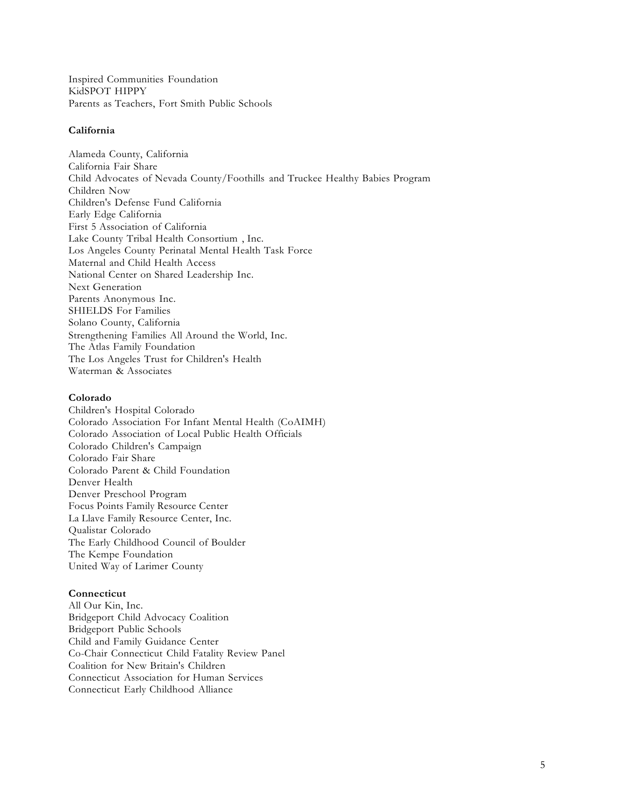Inspired Communities Foundation KidSPOT HIPPY Parents as Teachers, Fort Smith Public Schools

## **California**

Alameda County, California California Fair Share Child Advocates of Nevada County/Foothills and Truckee Healthy Babies Program Children Now Children's Defense Fund California Early Edge California First 5 Association of California Lake County Tribal Health Consortium , Inc. Los Angeles County Perinatal Mental Health Task Force Maternal and Child Health Access National Center on Shared Leadership Inc. Next Generation Parents Anonymous Inc. SHIELDS For Families Solano County, California Strengthening Families All Around the World, Inc. The Atlas Family Foundation The Los Angeles Trust for Children's Health Waterman & Associates

# **Colorado**

Children's Hospital Colorado Colorado Association For Infant Mental Health (CoAIMH) Colorado Association of Local Public Health Officials Colorado Children's Campaign Colorado Fair Share Colorado Parent & Child Foundation Denver Health Denver Preschool Program Focus Points Family Resource Center La Llave Family Resource Center, Inc. Qualistar Colorado The Early Childhood Council of Boulder The Kempe Foundation United Way of Larimer County

# **Connecticut**

All Our Kin, Inc. Bridgeport Child Advocacy Coalition Bridgeport Public Schools Child and Family Guidance Center Co-Chair Connecticut Child Fatality Review Panel Coalition for New Britain's Children Connecticut Association for Human Services Connecticut Early Childhood Alliance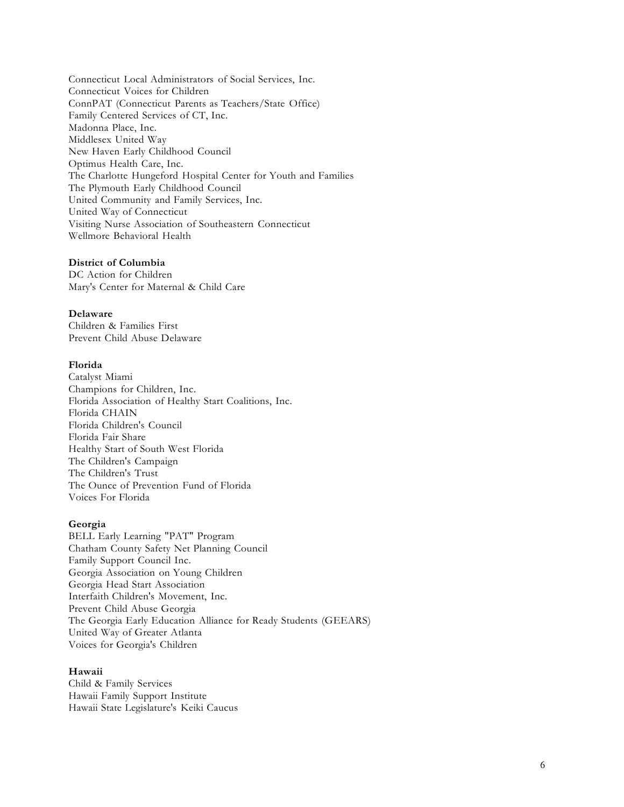Connecticut Local Administrators of Social Services, Inc. Connecticut Voices for Children ConnPAT (Connecticut Parents as Teachers/State Office) Family Centered Services of CT, Inc. Madonna Place, Inc. Middlesex United Way New Haven Early Childhood Council Optimus Health Care, Inc. The Charlotte Hungeford Hospital Center for Youth and Families The Plymouth Early Childhood Council United Community and Family Services, Inc. United Way of Connecticut Visiting Nurse Association of Southeastern Connecticut Wellmore Behavioral Health

# **District of Columbia**

DC Action for Children Mary's Center for Maternal & Child Care

# **Delaware**

Children & Families First Prevent Child Abuse Delaware

# **Florida**

Catalyst Miami Champions for Children, Inc. Florida Association of Healthy Start Coalitions, Inc. Florida CHAIN Florida Children's Council Florida Fair Share Healthy Start of South West Florida The Children's Campaign The Children's Trust The Ounce of Prevention Fund of Florida Voices For Florida

#### **Georgia**

BELL Early Learning "PAT" Program Chatham County Safety Net Planning Council Family Support Council Inc. Georgia Association on Young Children Georgia Head Start Association Interfaith Children's Movement, Inc. Prevent Child Abuse Georgia The Georgia Early Education Alliance for Ready Students (GEEARS) United Way of Greater Atlanta Voices for Georgia's Children

## **Hawaii**

Child & Family Services Hawaii Family Support Institute Hawaii State Legislature's Keiki Caucus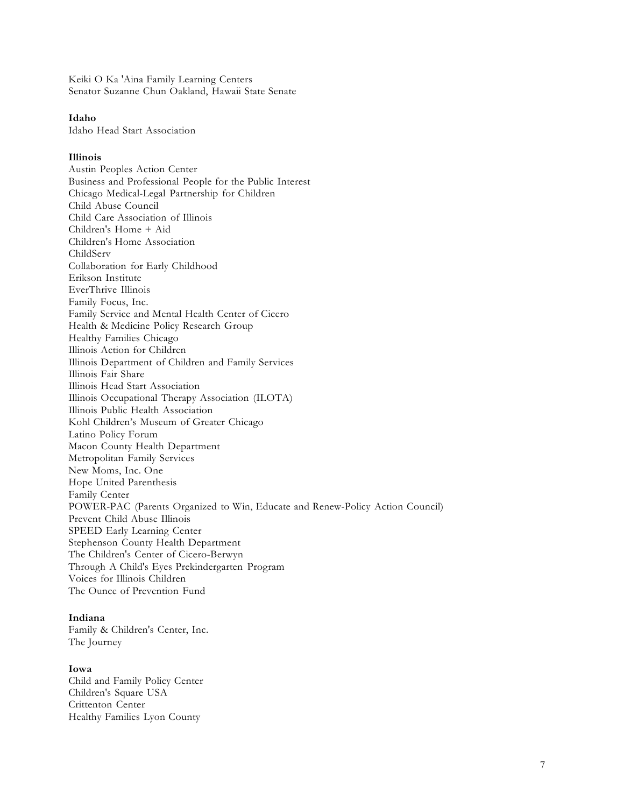Keiki O Ka 'Aina Family Learning Centers Senator Suzanne Chun Oakland, Hawaii State Senate

#### **Idaho**

Idaho Head Start Association

# **Illinois**

Austin Peoples Action Center Business and Professional People for the Public Interest Chicago Medical-Legal Partnership for Children Child Abuse Council Child Care Association of Illinois Children's Home + Aid Children's Home Association ChildServ Collaboration for Early Childhood Erikson Institute EverThrive Illinois Family Focus, Inc. Family Service and Mental Health Center of Cicero Health & Medicine Policy Research Group Healthy Families Chicago Illinois Action for Children Illinois Department of Children and Family Services Illinois Fair Share Illinois Head Start Association Illinois Occupational Therapy Association (ILOTA) Illinois Public Health Association Kohl Children's Museum of Greater Chicago Latino Policy Forum Macon County Health Department Metropolitan Family Services New Moms, Inc. One Hope United Parenthesis Family Center POWER-PAC (Parents Organized to Win, Educate and Renew-Policy Action Council) Prevent Child Abuse Illinois SPEED Early Learning Center Stephenson County Health Department The Children's Center of Cicero-Berwyn Through A Child's Eyes Prekindergarten Program Voices for Illinois Children The Ounce of Prevention Fund

# **Indiana**

Family & Children's Center, Inc. The Journey

# **Iowa**

Child and Family Policy Center Children's Square USA Crittenton Center Healthy Families Lyon County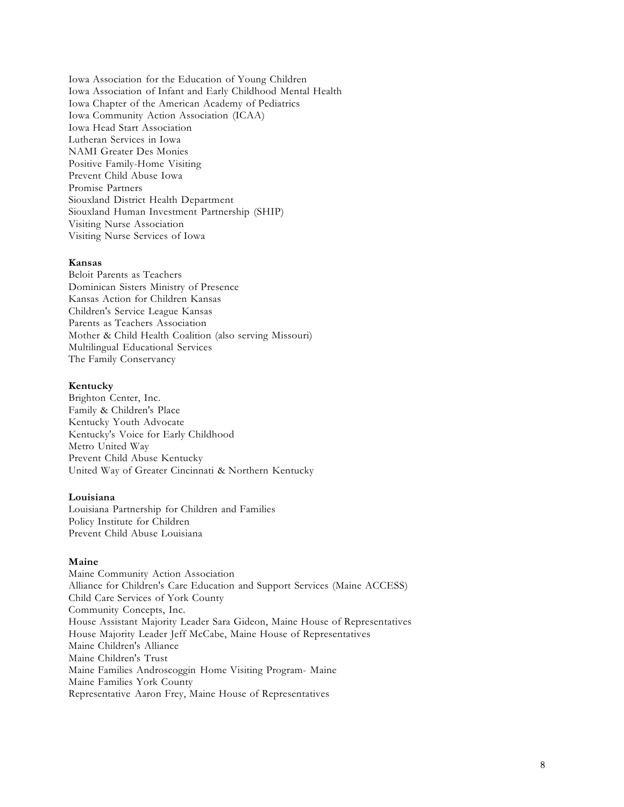Iowa Association for the Education of Young Children Iowa Association of Infant and Early Childhood Mental Health Iowa Chapter of the American Academy of Pediatrics Iowa Community Action Association (ICAA) Iowa Head Start Association Lutheran Services in Iowa NAMI Greater Des Monies Positive Family-Home Visiting Prevent Child Abuse Iowa Promise Partners Siouxland District Health Department Siouxland Human Investment Partnership (SHIP) Visiting Nurse Association Visiting Nurse Services of Iowa

#### **Kansas**

Beloit Parents as Teachers Dominican Sisters Ministry of Presence Kansas Action for Children Kansas Children's Service League Kansas Parents as Teachers Association Mother & Child Health Coalition (also serving Missouri) Multilingual Educational Services The Family Conservancy

# **Kentucky**

Brighton Center, Inc. Family & Children's Place Kentucky Youth Advocate Kentucky's Voice for Early Childhood Metro United Way Prevent Child Abuse Kentucky United Way of Greater Cincinnati & Northern Kentucky

# **Louisiana**

Louisiana Partnership for Children and Families Policy Institute for Children Prevent Child Abuse Louisiana

# **Maine**

Maine Community Action Association Alliance for Children's Care Education and Support Services (Maine ACCESS) Child Care Services of York County Community Concepts, Inc. House Assistant Majority Leader Sara Gideon, Maine House of Representatives House Majority Leader Jeff McCabe, Maine House of Representatives Maine Children's Alliance Maine Children's Trust Maine Families Androscoggin Home Visiting Program- Maine Maine Families York County Representative Aaron Frey, Maine House of Representatives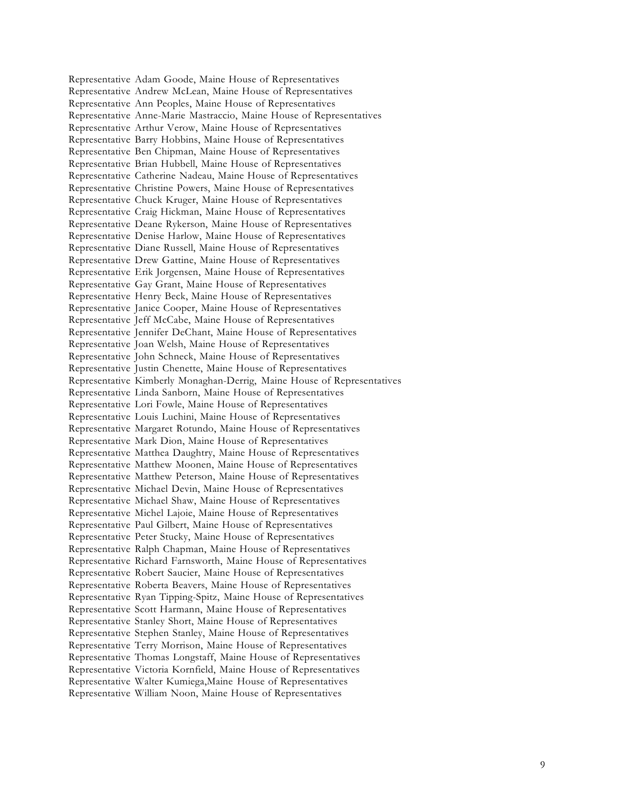Representative Adam Goode, Maine House of Representatives Representative Andrew McLean, Maine House of Representatives Representative Ann Peoples, Maine House of Representatives Representative Anne-Marie Mastraccio, Maine House of Representatives Representative Arthur Verow, Maine House of Representatives Representative Barry Hobbins, Maine House of Representatives Representative Ben Chipman, Maine House of Representatives Representative Brian Hubbell, Maine House of Representatives Representative Catherine Nadeau, Maine House of Representatives Representative Christine Powers, Maine House of Representatives Representative Chuck Kruger, Maine House of Representatives Representative Craig Hickman, Maine House of Representatives Representative Deane Rykerson, Maine House of Representatives Representative Denise Harlow, Maine House of Representatives Representative Diane Russell, Maine House of Representatives Representative Drew Gattine, Maine House of Representatives Representative Erik Jorgensen, Maine House of Representatives Representative Gay Grant, Maine House of Representatives Representative Henry Beck, Maine House of Representatives Representative Janice Cooper, Maine House of Representatives Representative Jeff McCabe, Maine House of Representatives Representative Jennifer DeChant, Maine House of Representatives Representative Joan Welsh, Maine House of Representatives Representative John Schneck, Maine House of Representatives Representative Justin Chenette, Maine House of Representatives Representative Kimberly Monaghan-Derrig, Maine House of Representatives Representative Linda Sanborn, Maine House of Representatives Representative Lori Fowle, Maine House of Representatives Representative Louis Luchini, Maine House of Representatives Representative Margaret Rotundo, Maine House of Representatives Representative Mark Dion, Maine House of Representatives Representative Matthea Daughtry, Maine House of Representatives Representative Matthew Moonen, Maine House of Representatives Representative Matthew Peterson, Maine House of Representatives Representative Michael Devin, Maine House of Representatives Representative Michael Shaw, Maine House of Representatives Representative Michel Lajoie, Maine House of Representatives Representative Paul Gilbert, Maine House of Representatives Representative Peter Stucky, Maine House of Representatives Representative Ralph Chapman, Maine House of Representatives Representative Richard Farnsworth, Maine House of Representatives Representative Robert Saucier, Maine House of Representatives Representative Roberta Beavers, Maine House of Representatives Representative Ryan Tipping-Spitz, Maine House of Representatives Representative Scott Harmann, Maine House of Representatives Representative Stanley Short, Maine House of Representatives Representative Stephen Stanley, Maine House of Representatives Representative Terry Morrison, Maine House of Representatives Representative Thomas Longstaff, Maine House of Representatives Representative Victoria Kornfield, Maine House of Representatives Representative Walter Kumiega,Maine House of Representatives Representative William Noon, Maine House of Representatives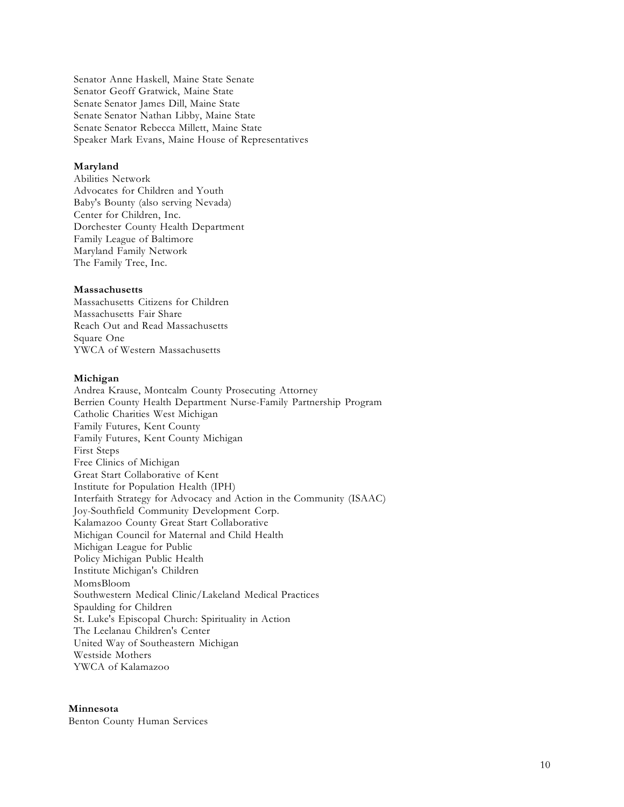Senator Anne Haskell, Maine State Senate Senator Geoff Gratwick, Maine State Senate Senator James Dill, Maine State Senate Senator Nathan Libby, Maine State Senate Senator Rebecca Millett, Maine State Speaker Mark Evans, Maine House of Representatives

### **Maryland**

Abilities Network Advocates for Children and Youth Baby's Bounty (also serving Nevada) Center for Children, Inc. Dorchester County Health Department Family League of Baltimore Maryland Family Network The Family Tree, Inc.

#### **Massachusetts**

Massachusetts Citizens for Children Massachusetts Fair Share Reach Out and Read Massachusetts Square One YWCA of Western Massachusetts

#### **Michigan**

Andrea Krause, Montcalm County Prosecuting Attorney Berrien County Health Department Nurse-Family Partnership Program Catholic Charities West Michigan Family Futures, Kent County Family Futures, Kent County Michigan First Steps Free Clinics of Michigan Great Start Collaborative of Kent Institute for Population Health (IPH) Interfaith Strategy for Advocacy and Action in the Community (ISAAC) Joy-Southfield Community Development Corp. Kalamazoo County Great Start Collaborative Michigan Council for Maternal and Child Health Michigan League for Public Policy Michigan Public Health Institute Michigan's Children MomsBloom Southwestern Medical Clinic/Lakeland Medical Practices Spaulding for Children St. Luke's Episcopal Church: Spirituality in Action The Leelanau Children's Center United Way of Southeastern Michigan Westside Mothers YWCA of Kalamazoo

#### **Minnesota**

Benton County Human Services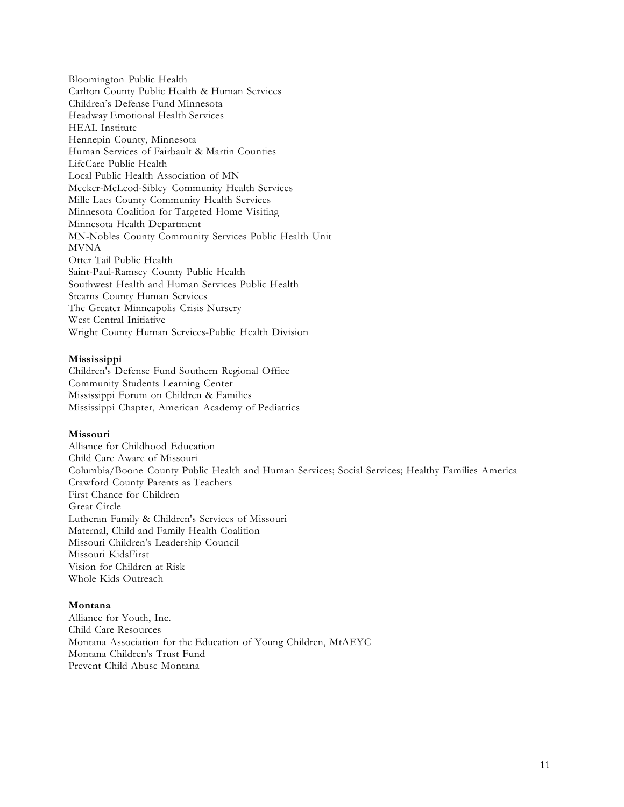Bloomington Public Health Carlton County Public Health & Human Services Children's Defense Fund Minnesota Headway Emotional Health Services HEAL Institute Hennepin County, Minnesota Human Services of Fairbault & Martin Counties LifeCare Public Health Local Public Health Association of MN Meeker-McLeod-Sibley Community Health Services Mille Lacs County Community Health Services Minnesota Coalition for Targeted Home Visiting Minnesota Health Department MN-Nobles County Community Services Public Health Unit MVNA Otter Tail Public Health Saint-Paul-Ramsey County Public Health Southwest Health and Human Services Public Health Stearns County Human Services The Greater Minneapolis Crisis Nursery West Central Initiative Wright County Human Services-Public Health Division

# **Mississippi**

Children's Defense Fund Southern Regional Office Community Students Learning Center Mississippi Forum on Children & Families Mississippi Chapter, American Academy of Pediatrics

# **Missouri**

Alliance for Childhood Education Child Care Aware of Missouri Columbia/Boone County Public Health and Human Services; Social Services; Healthy Families America Crawford County Parents as Teachers First Chance for Children Great Circle Lutheran Family & Children's Services of Missouri Maternal, Child and Family Health Coalition Missouri Children's Leadership Council Missouri KidsFirst Vision for Children at Risk Whole Kids Outreach

# **Montana**

Alliance for Youth, Inc. Child Care Resources Montana Association for the Education of Young Children, MtAEYC Montana Children's Trust Fund Prevent Child Abuse Montana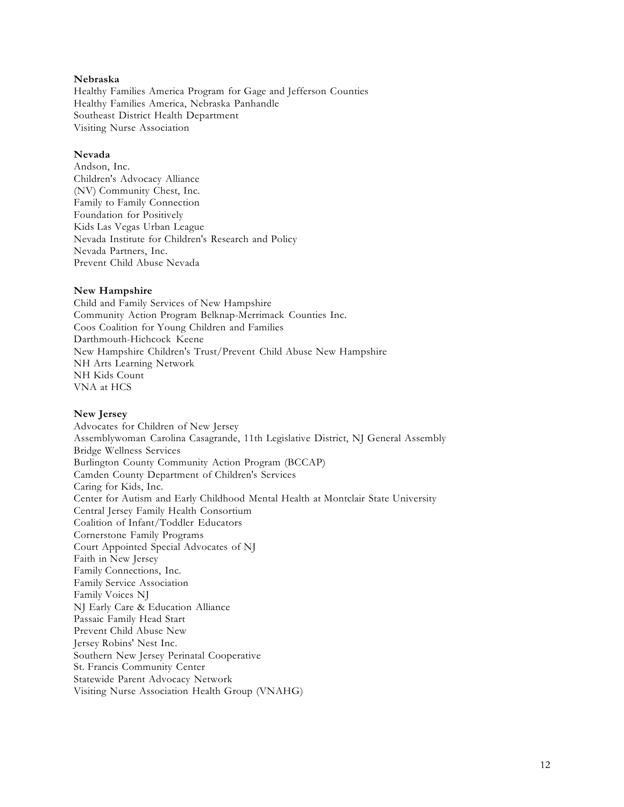# **Nebraska**

Healthy Families America Program for Gage and Jefferson Counties Healthy Families America, Nebraska Panhandle Southeast District Health Department Visiting Nurse Association

# **Nevada**

Andson, Inc. Children's Advocacy Alliance (NV) Community Chest, Inc. Family to Family Connection Foundation for Positively Kids Las Vegas Urban League Nevada Institute for Children's Research and Policy Nevada Partners, Inc. Prevent Child Abuse Nevada

# **New Hampshire**

Child and Family Services of New Hampshire Community Action Program Belknap-Merrimack Counties Inc. Coos Coalition for Young Children and Families Darthmouth-Hichcock Keene New Hampshire Children's Trust/Prevent Child Abuse New Hampshire NH Arts Learning Network NH Kids Count VNA at HCS

#### **New Jersey**

Advocates for Children of New Jersey Assemblywoman Carolina Casagrande, 11th Legislative District, NJ General Assembly Bridge Wellness Services Burlington County Community Action Program (BCCAP) Camden County Department of Children's Services Caring for Kids, Inc. Center for Autism and Early Childhood Mental Health at Montclair State University Central Jersey Family Health Consortium Coalition of Infant/Toddler Educators Cornerstone Family Programs Court Appointed Special Advocates of NJ Faith in New Jersey Family Connections, Inc. Family Service Association Family Voices NJ NJ Early Care & Education Alliance Passaic Family Head Start Prevent Child Abuse New Jersey Robins' Nest Inc. Southern New Jersey Perinatal Cooperative St. Francis Community Center Statewide Parent Advocacy Network Visiting Nurse Association Health Group (VNAHG)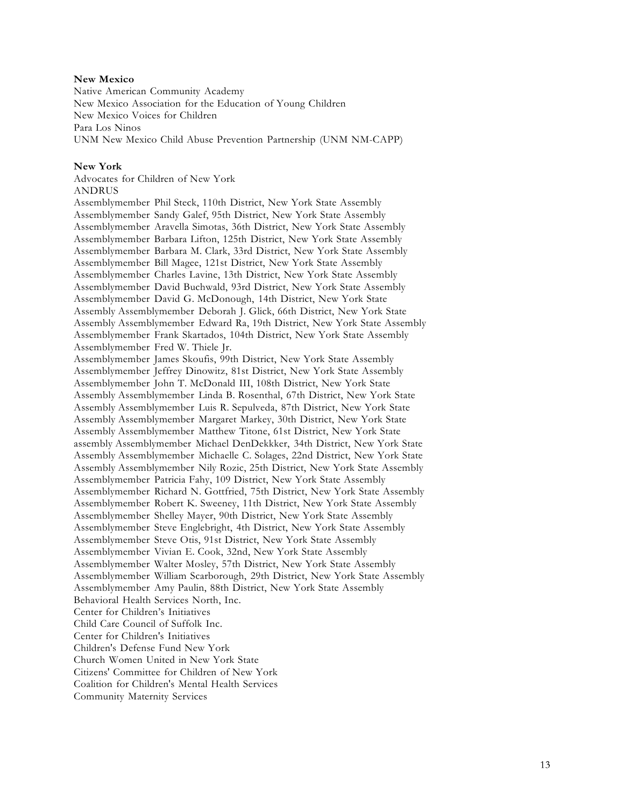# **New Mexico**

Native American Community Academy New Mexico Association for the Education of Young Children New Mexico Voices for Children Para Los Ninos UNM New Mexico Child Abuse Prevention Partnership (UNM NM-CAPP)

#### **New York**

Advocates for Children of New York

#### ANDRUS

Assemblymember Phil Steck, 110th District, New York State Assembly Assemblymember Sandy Galef, 95th District, New York State Assembly Assemblymember Aravella Simotas, 36th District, New York State Assembly Assemblymember Barbara Lifton, 125th District, New York State Assembly Assemblymember Barbara M. Clark, 33rd District, New York State Assembly Assemblymember Bill Magee, 121st District, New York State Assembly Assemblymember Charles Lavine, 13th District, New York State Assembly Assemblymember David Buchwald, 93rd District, New York State Assembly Assemblymember David G. McDonough, 14th District, New York State Assembly Assemblymember Deborah J. Glick, 66th District, New York State Assembly Assemblymember Edward Ra, 19th District, New York State Assembly Assemblymember Frank Skartados, 104th District, New York State Assembly Assemblymember Fred W. Thiele Jr. Assemblymember James Skoufis, 99th District, New York State Assembly Assemblymember Jeffrey Dinowitz, 81st District, New York State Assembly Assemblymember John T. McDonald III, 108th District, New York State Assembly Assemblymember Linda B. Rosenthal, 67th District, New York State Assembly Assemblymember Luis R. Sepulveda, 87th District, New York State

Assembly Assemblymember Margaret Markey, 30th District, New York State Assembly Assemblymember Matthew Titone, 61st District, New York State assembly Assemblymember Michael DenDekkker, 34th District, New York State Assembly Assemblymember Michaelle C. Solages, 22nd District, New York State Assembly Assemblymember Nily Rozic, 25th District, New York State Assembly Assemblymember Patricia Fahy, 109 District, New York State Assembly Assemblymember Richard N. Gottfried, 75th District, New York State Assembly Assemblymember Robert K. Sweeney, 11th District, New York State Assembly Assemblymember Shelley Mayer, 90th District, New York State Assembly Assemblymember Steve Englebright, 4th District, New York State Assembly Assemblymember Steve Otis, 91st District, New York State Assembly Assemblymember Vivian E. Cook, 32nd, New York State Assembly Assemblymember Walter Mosley, 57th District, New York State Assembly Assemblymember William Scarborough, 29th District, New York State Assembly Assemblymember Amy Paulin, 88th District, New York State Assembly Behavioral Health Services North, Inc. Center for Children's Initiatives Child Care Council of Suffolk Inc. Center for Children's Initiatives

Children's Defense Fund New York

Church Women United in New York State

Citizens' Committee for Children of New York

Coalition for Children's Mental Health Services

Community Maternity Services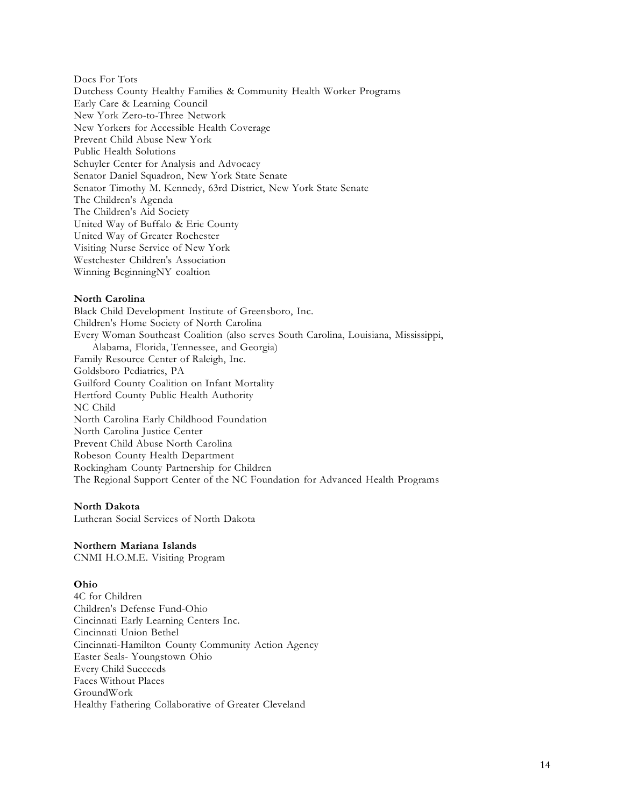Docs For Tots Dutchess County Healthy Families & Community Health Worker Programs Early Care & Learning Council New York Zero-to-Three Network New Yorkers for Accessible Health Coverage Prevent Child Abuse New York Public Health Solutions Schuyler Center for Analysis and Advocacy Senator Daniel Squadron, New York State Senate Senator Timothy M. Kennedy, 63rd District, New York State Senate The Children's Agenda The Children's Aid Society United Way of Buffalo & Erie County United Way of Greater Rochester Visiting Nurse Service of New York Westchester Children's Association Winning BeginningNY coaltion

# **North Carolina**

Black Child Development Institute of Greensboro, Inc. Children's Home Society of North Carolina Every Woman Southeast Coalition (also serves South Carolina, Louisiana, Mississippi, Alabama, Florida, Tennessee, and Georgia) Family Resource Center of Raleigh, Inc. Goldsboro Pediatrics, PA Guilford County Coalition on Infant Mortality Hertford County Public Health Authority NC Child North Carolina Early Childhood Foundation North Carolina Justice Center Prevent Child Abuse North Carolina Robeson County Health Department Rockingham County Partnership for Children The Regional Support Center of the NC Foundation for Advanced Health Programs

## **North Dakota**

Lutheran Social Services of North Dakota

# **Northern Mariana Islands**

CNMI H.O.M.E. Visiting Program

# **Ohio**

4C for Children Children's Defense Fund-Ohio Cincinnati Early Learning Centers Inc. Cincinnati Union Bethel Cincinnati-Hamilton County Community Action Agency Easter Seals- Youngstown Ohio Every Child Succeeds Faces Without Places GroundWork Healthy Fathering Collaborative of Greater Cleveland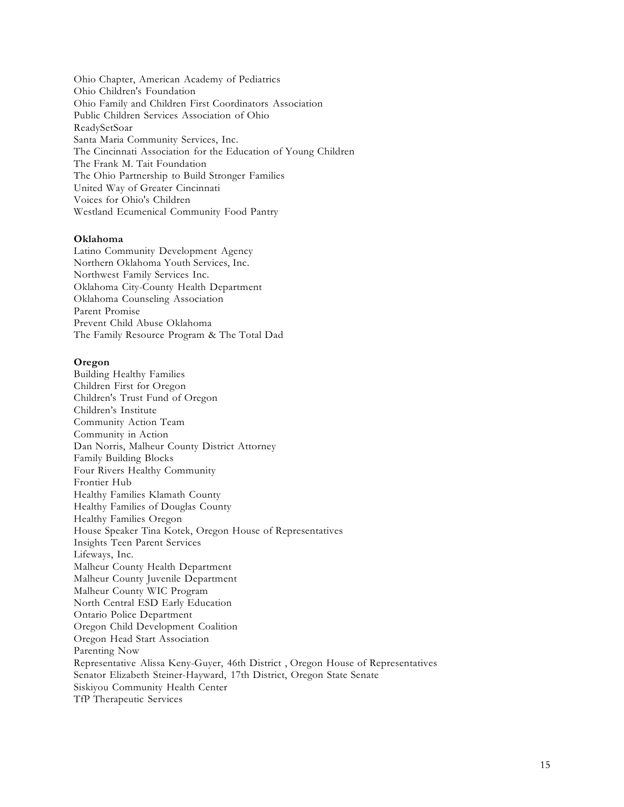Ohio Chapter, American Academy of Pediatrics Ohio Children's Foundation Ohio Family and Children First Coordinators Association Public Children Services Association of Ohio ReadySetSoar Santa Maria Community Services, Inc. The Cincinnati Association for the Education of Young Children The Frank M. Tait Foundation The Ohio Partnership to Build Stronger Families United Way of Greater Cincinnati Voices for Ohio's Children Westland Ecumenical Community Food Pantry

#### **Oklahoma**

Latino Community Development Agency Northern Oklahoma Youth Services, Inc. Northwest Family Services Inc. Oklahoma City-County Health Department Oklahoma Counseling Association Parent Promise Prevent Child Abuse Oklahoma The Family Resource Program & The Total Dad

#### **Oregon**

Building Healthy Families Children First for Oregon Children's Trust Fund of Oregon Children's Institute Community Action Team Community in Action Dan Norris, Malheur County District Attorney Family Building Blocks Four Rivers Healthy Community Frontier Hub Healthy Families Klamath County Healthy Families of Douglas County Healthy Families Oregon House Speaker Tina Kotek, Oregon House of Representatives Insights Teen Parent Services Lifeways, Inc. Malheur County Health Department Malheur County Juvenile Department Malheur County WIC Program North Central ESD Early Education Ontario Police Department Oregon Child Development Coalition Oregon Head Start Association Parenting Now Representative Alissa Keny-Guyer, 46th District , Oregon House of Representatives Senator Elizabeth Steiner-Hayward, 17th District, Oregon State Senate Siskiyou Community Health Center TfP Therapeutic Services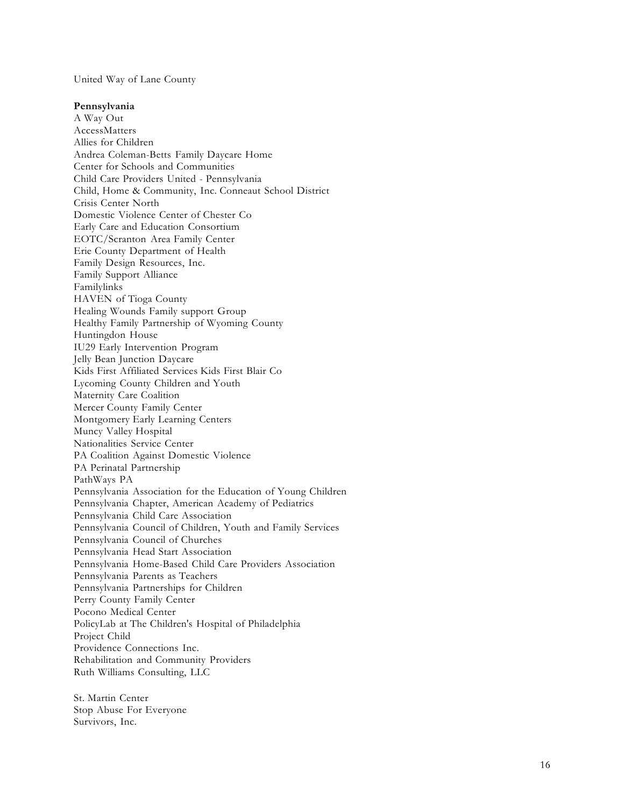United Way of Lane County

#### **Pennsylvania**

A Way Out AccessMatters Allies for Children Andrea Coleman-Betts Family Daycare Home Center for Schools and Communities Child Care Providers United - Pennsylvania Child, Home & Community, Inc. Conneaut School District Crisis Center North Domestic Violence Center of Chester Co Early Care and Education Consortium EOTC/Scranton Area Family Center Erie County Department of Health Family Design Resources, Inc. Family Support Alliance Familylinks HAVEN of Tioga County Healing Wounds Family support Group Healthy Family Partnership of Wyoming County Huntingdon House IU29 Early Intervention Program Jelly Bean Junction Daycare Kids First Affiliated Services Kids First Blair Co Lycoming County Children and Youth Maternity Care Coalition Mercer County Family Center Montgomery Early Learning Centers Muncy Valley Hospital Nationalities Service Center PA Coalition Against Domestic Violence PA Perinatal Partnership PathWays PA Pennsylvania Association for the Education of Young Children Pennsylvania Chapter, American Academy of Pediatrics Pennsylvania Child Care Association Pennsylvania Council of Children, Youth and Family Services Pennsylvania Council of Churches Pennsylvania Head Start Association Pennsylvania Home-Based Child Care Providers Association Pennsylvania Parents as Teachers Pennsylvania Partnerships for Children Perry County Family Center Pocono Medical Center PolicyLab at The Children's Hospital of Philadelphia Project Child Providence Connections Inc. Rehabilitation and Community Providers Ruth Williams Consulting, LLC

St. Martin Center Stop Abuse For Everyone Survivors, Inc.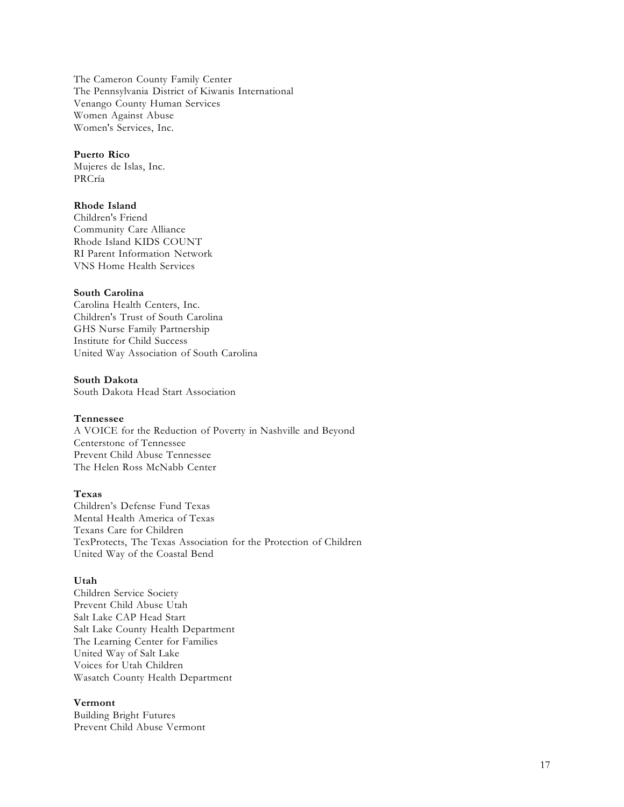The Cameron County Family Center The Pennsylvania District of Kiwanis International Venango County Human Services Women Against Abuse Women's Services, Inc.

# **Puerto Rico**

Mujeres de Islas, Inc. PRCría

# **Rhode Island**

Children's Friend Community Care Alliance Rhode Island KIDS COUNT RI Parent Information Network VNS Home Health Services

## **South Carolina**

Carolina Health Centers, Inc. Children's Trust of South Carolina GHS Nurse Family Partnership Institute for Child Success United Way Association of South Carolina

#### **South Dakota**

South Dakota Head Start Association

#### **Tennessee**

A VOICE for the Reduction of Poverty in Nashville and Beyond Centerstone of Tennessee Prevent Child Abuse Tennessee The Helen Ross McNabb Center

## **Texas**

Children's Defense Fund Texas Mental Health America of Texas Texans Care for Children TexProtects, The Texas Association for the Protection of Children United Way of the Coastal Bend

#### **Utah**

Children Service Society Prevent Child Abuse Utah Salt Lake CAP Head Start Salt Lake County Health Department The Learning Center for Families United Way of Salt Lake Voices for Utah Children Wasatch County Health Department

#### **Vermont**

Building Bright Futures Prevent Child Abuse Vermont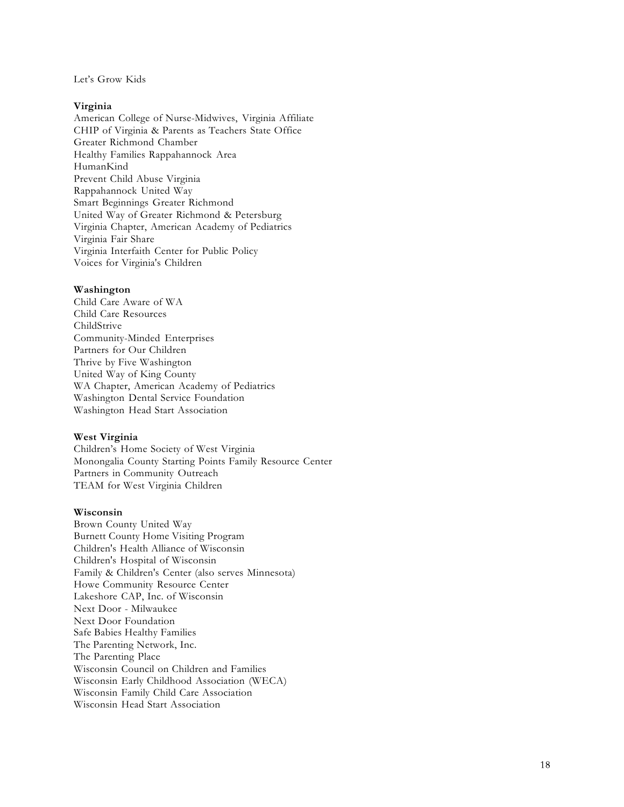# Let's Grow Kids

#### **Virginia**

American College of Nurse-Midwives, Virginia Affiliate CHIP of Virginia & Parents as Teachers State Office Greater Richmond Chamber Healthy Families Rappahannock Area HumanKind Prevent Child Abuse Virginia Rappahannock United Way Smart Beginnings Greater Richmond United Way of Greater Richmond & Petersburg Virginia Chapter, American Academy of Pediatrics Virginia Fair Share Virginia Interfaith Center for Public Policy Voices for Virginia's Children

#### **Washington**

Child Care Aware of WA Child Care Resources ChildStrive Community-Minded Enterprises Partners for Our Children Thrive by Five Washington United Way of King County WA Chapter, American Academy of Pediatrics Washington Dental Service Foundation Washington Head Start Association

#### **West Virginia**

Children's Home Society of West Virginia Monongalia County Starting Points Family Resource Center Partners in Community Outreach TEAM for West Virginia Children

#### **Wisconsin**

Brown County United Way Burnett County Home Visiting Program Children's Health Alliance of Wisconsin Children's Hospital of Wisconsin Family & Children's Center (also serves Minnesota) Howe Community Resource Center Lakeshore CAP, Inc. of Wisconsin Next Door - Milwaukee Next Door Foundation Safe Babies Healthy Families The Parenting Network, Inc. The Parenting Place Wisconsin Council on Children and Families Wisconsin Early Childhood Association (WECA) Wisconsin Family Child Care Association Wisconsin Head Start Association